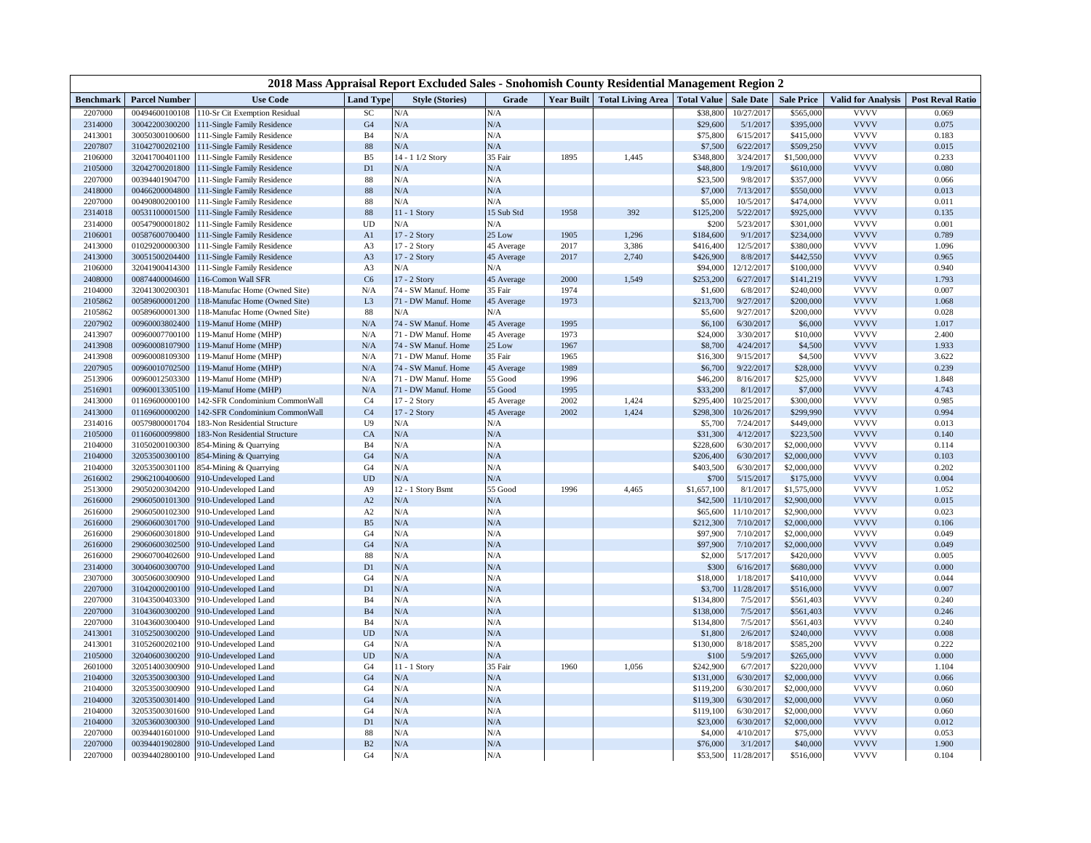| 2018 Mass Appraisal Report Excluded Sales - Snohomish County Residential Management Region 2 |                      |                                |                  |                         |             |                   |                          |                    |                  |                   |                           |                         |
|----------------------------------------------------------------------------------------------|----------------------|--------------------------------|------------------|-------------------------|-------------|-------------------|--------------------------|--------------------|------------------|-------------------|---------------------------|-------------------------|
| <b>Benchmark</b>                                                                             | <b>Parcel Number</b> | <b>Use Code</b>                | <b>Land Type</b> | <b>Style (Stories)</b>  | Grade       | <b>Year Built</b> | <b>Total Living Area</b> | <b>Total Value</b> | <b>Sale Date</b> | <b>Sale Price</b> | <b>Valid for Analysis</b> | <b>Post Reval Ratio</b> |
| 2207000                                                                                      | 00494600100108       | 110-Sr Cit Exemption Residual  | SC               | N/A                     | N/A         |                   |                          | \$38,800           | 10/27/2017       | \$565,000         | <b>VVVV</b>               | 0.069                   |
| 2314000                                                                                      | 30042200300200       | 111-Single Family Residence    | G <sub>4</sub>   | N/A                     | N/A         |                   |                          | \$29,600           | 5/1/2017         | \$395,000         | <b>VVVV</b>               | 0.075                   |
| 2413001                                                                                      | 30050300100600       | 111-Single Family Residence    | <b>B4</b>        | N/A                     | N/A         |                   |                          | \$75,800           | 6/15/201'        | \$415,000         | <b>VVVV</b>               | 0.183                   |
| 2207807                                                                                      | 31042700202100       | 111-Single Family Residence    | $88\,$           | N/A                     | N/A         |                   |                          | \$7,500            | 6/22/2017        | \$509,250         | <b>VVVV</b>               | 0.015                   |
| 2106000                                                                                      | 32041700401100       | 111-Single Family Residence    | B <sub>5</sub>   | $14 - 1$<br>$1/2$ Story | 35 Fair     | 1895              | 1,445                    | \$348,800          | 3/24/2017        | \$1,500,000       | <b>VVVV</b>               | 0.233                   |
| 2105000                                                                                      | 32042700201800       | 111-Single Family Residence    | D1               | N/A                     | $\rm N/A$   |                   |                          | \$48,800           | 1/9/2017         | \$610,000         | <b>VVVV</b>               | 0.080                   |
| 2207000                                                                                      | 00394401904700       | 111-Single Family Residence    | 88               | N/A                     | N/A         |                   |                          | \$23,500           | 9/8/201'         | \$357,000         | <b>VVVV</b>               | 0.066                   |
| 2418000                                                                                      | 00466200004800       | 111-Single Family Residence    | $88\,$           | N/A                     | N/A         |                   |                          | \$7,000            | 7/13/2017        | \$550,000         | <b>VVVV</b>               | 0.013                   |
| 2207000                                                                                      | 00490800200100       | 111-Single Family Residence    | 88               | N/A                     | N/A         |                   |                          | \$5,000            | 10/5/2017        | \$474,000         | <b>VVVV</b>               | 0.011                   |
| 2314018                                                                                      | 00531100001500       | 111-Single Family Residence    | 88               | $11 - 1$ Story          | 15 Sub Std  | 1958              | 392                      | \$125,200          | 5/22/2017        | \$925,000         | <b>VVVV</b>               | 0.135                   |
| 2314000                                                                                      | 00547900001802       | 111-Single Family Residence    | UD               | N/A                     | ${\bf N/A}$ |                   |                          | \$200              | 5/23/201         | \$301,000         | <b>VVVV</b>               | 0.001                   |
| 2106001                                                                                      | 00587600700400       | 111-Single Family Residence    | A1               | 17 - 2 Story            | 25 Low      | 1905              | 1,296                    | \$184,600          | 9/1/2017         | \$234,000         | <b>VVVV</b>               | 0.789                   |
| 2413000                                                                                      | 01029200000300       | 111-Single Family Residence    | A3               | 17 - 2 Story            | 45 Average  | 2017              | 3,386                    | \$416,400          | 12/5/201         | \$380,000         | <b>VVVV</b>               | 1.096                   |
| 2413000                                                                                      | 30051500204400       | 111-Single Family Residence    | A <sub>3</sub>   | 17 - 2 Story            | 45 Average  | 2017              | 2,740                    | \$426,900          | 8/8/2017         | \$442,550         | <b>VVVV</b>               | 0.965                   |
| 2106000                                                                                      | 32041900414300       | 111-Single Family Residence    | A <sub>3</sub>   | N/A                     | N/A         |                   |                          | \$94,000           | 12/12/2017       | \$100,000         | <b>VVVV</b>               | 0.940                   |
| 2408000                                                                                      | 00874400004600       | 116-Comon Wall SFR             | C6               | 17 - 2 Story            | 45 Average  | 2000              | 1,549                    | \$253,200          | 6/27/201'        | \$141,219         | <b>VVVV</b>               | 1.793                   |
| 2104000                                                                                      | 32041300200301       | 118-Manufac Home (Owned Site)  | N/A              | 74 - SW Manuf. Home     | 35 Fair     | 1974              |                          | \$1,600            | 6/8/2017         | \$240,000         | <b>VVVV</b>               | 0.007                   |
| 2105862                                                                                      | 00589600001200       | 118-Manufac Home (Owned Site)  | L <sub>3</sub>   | 71 - DW Manuf. Home     | 45 Average  | 1973              |                          | \$213,700          | 9/27/2017        | \$200,000         | <b>VVVV</b>               | 1.068                   |
| 2105862                                                                                      | 00589600001300       | 118-Manufac Home (Owned Site)  | 88               | N/A                     | N/A         |                   |                          | \$5,600            | 9/27/2017        | \$200,000         | <b>VVVV</b>               | 0.028                   |
| 2207902                                                                                      | 00960003802400       | 119-Manuf Home (MHP)           | N/A              | 74 - SW Manuf. Home     | 45 Average  | 1995              |                          | \$6,100            | 6/30/2017        | \$6,000           | <b>VVVV</b>               | 1.017                   |
| 2413907                                                                                      | 00960007700100       | 19-Manuf Home (MHP)            | N/A              | 71 - DW Manuf. Home     | 45 Average  | 1973              |                          | \$24,000           | 3/30/201'        | \$10,000          | <b>VVVV</b>               | 2.400                   |
| 2413908                                                                                      | 00960008107900       | 19-Manuf Home (MHP)            | N/A              | 74 - SW Manuf. Home     | 25 Low      | 1967              |                          | \$8,700            | 4/24/2017        | \$4,500           | <b>VVVV</b>               | 1.933                   |
| 2413908                                                                                      | 00960008109300       | 119-Manuf Home (MHP)           | N/A              | 71 - DW Manuf. Home     | 35 Fair     | 1965              |                          | \$16,300           | 9/15/201'        | \$4,500           | <b>VVVV</b>               | 3.622                   |
| 2207905                                                                                      | 00960010702500       | 19-Manuf Home (MHP)            | N/A              | 74 - SW Manuf. Home     | 45 Average  | 1989              |                          | \$6,700            | 9/22/2017        | \$28,000          | <b>VVVV</b>               | 0.239                   |
| 2513906                                                                                      | 00960012503300       | 19-Manuf Home (MHP)            | N/A              | 71 - DW Manuf. Home     | 55 Good     | 1996              |                          | \$46,200           | 8/16/201         | \$25,000          | <b>VVVV</b>               | 1.848                   |
| 2516901                                                                                      | 00960013305100       | 19-Manuf Home (MHP)            | N/A              | 71 - DW Manuf. Home     | 55 Good     | 1995              |                          | \$33,200           | 8/1/201'         | \$7,000           | <b>VVVV</b>               | 4.743                   |
| 2413000                                                                                      | 01169600000100       | 42-SFR Condominium CommonWall  | C <sub>4</sub>   | 17 - 2 Story            | 45 Average  | 2002              | 1,424                    | \$295,400          | 10/25/2017       | \$300,000         | <b>VVVV</b>               | 0.985                   |
| 2413000                                                                                      | 01169600000200       | 142-SFR Condominium CommonWall | C <sub>4</sub>   | 17 - 2 Story            | 45 Average  | 2002              | 1,424                    | \$298,300          | 10/26/201        | \$299,990         | <b>VVVV</b>               | 0.994                   |
| 2314016                                                                                      | 00579800001704       | 183-Non Residential Structure  | U <sub>9</sub>   | N/A                     | N/A         |                   |                          | \$5,700            | 7/24/201'        | \$449,000         | <b>VVVV</b>               | 0.013                   |
| 2105000                                                                                      | 01160600099800       | 183-Non Residential Structure  | CA               | N/A                     | $\rm N/A$   |                   |                          | \$31,300           | 4/12/2017        | \$223,500         | <b>VVVV</b>               | 0.140                   |
| 2104000                                                                                      | 31050200100300       | 854-Mining & Quarrying         | <b>B4</b>        | N/A                     | N/A         |                   |                          | \$228,600          | 6/30/201         | \$2,000,000       | <b>VVVV</b>               | 0.114                   |
| 2104000                                                                                      | 32053500300100       | 854-Mining & Quarrying         | G <sub>4</sub>   | N/A                     | N/A         |                   |                          | \$206,400          | 6/30/2017        | \$2,000,000       | <b>VVVV</b>               | 0.103                   |
| 2104000                                                                                      | 32053500301100       | 854-Mining & Quarrying         | G <sub>4</sub>   | N/A                     | N/A         |                   |                          | \$403,500          | 6/30/2017        | \$2,000,000       | <b>VVVV</b>               | 0.202                   |
| 2616002                                                                                      | 29062100400600       | 910-Undeveloped Land           | <b>UD</b>        | N/A                     | $\rm N/A$   |                   |                          | \$700              | 5/15/2017        | \$175,000         | <b>VVVV</b>               | 0.004                   |
| 2513000                                                                                      | 29050200304200       | 910-Undeveloped Land           | A <sub>9</sub>   | 12 - 1 Story Bsmt       | 55 Good     | 1996              | 4,465                    | \$1,657,100        | 8/1/201'         | \$1,575,000       | <b>VVVV</b>               | 1.052                   |
| 2616000                                                                                      | 29060500101300       | 910-Undeveloped Land           | A2               | N/A                     | N/A         |                   |                          | \$42,500           | 11/10/2017       | \$2,900,000       | <b>VVVV</b>               | 0.015                   |
| 2616000                                                                                      | 29060500102300       | 910-Undeveloped Land           | A2               | N/A                     | N/A         |                   |                          | \$65,600           | 11/10/201        | \$2,900,000       | <b>VVVV</b>               | 0.023                   |
| 2616000                                                                                      | 29060600301700       | 910-Undeveloped Land           | B <sub>5</sub>   | N/A                     | $\rm N/A$   |                   |                          | \$212,300          | 7/10/2017        | \$2,000,000       | <b>VVVV</b>               | 0.106                   |
| 2616000                                                                                      | 29060600301800       | 910-Undeveloped Land           | G <sub>4</sub>   | N/A                     | N/A         |                   |                          | \$97,900           | 7/10/2017        | \$2,000,000       | <b>VVVV</b>               | 0.049                   |
| 2616000                                                                                      | 29060600302500       | 910-Undeveloped Land           | G <sub>4</sub>   | N/A                     | N/A         |                   |                          | \$97,900           | 7/10/201'        | \$2,000,000       | <b>VVVV</b>               | 0.049                   |
| 2616000                                                                                      | 29060700402600       | 910-Undeveloped Land           | 88               | N/A                     | N/A         |                   |                          | \$2,000            | 5/17/201'        | \$420,000         | <b>VVVV</b>               | 0.005                   |
| 2314000                                                                                      | 30040600300700       | 910-Undeveloped Land           | D1               | N/A                     | $\rm N/A$   |                   |                          | \$300              | 6/16/201'        | \$680,000         | <b>VVVV</b>               | 0.000                   |
| 2307000                                                                                      | 30050600300900       | 910-Undeveloped Land           | G <sub>4</sub>   | N/A                     | N/A         |                   |                          | \$18,000           | 1/18/2017        | \$410,000         | <b>VVVV</b>               | 0.044                   |
| 2207000                                                                                      | 31042000200100       | 910-Undeveloped Land           | D <sub>1</sub>   | N/A                     | N/A         |                   |                          | \$3,700            | 11/28/2017       | \$516,000         | <b>VVVV</b>               | 0.007                   |
| 2207000                                                                                      | 31043500403300       | 910-Undeveloped Land           | <b>B4</b>        | N/A                     | N/A         |                   |                          | \$134,800          | 7/5/201'         | \$561,403         | <b>VVVV</b>               | 0.240                   |
| 2207000                                                                                      | 31043600300200       | 910-Undeveloped Land           | <b>B4</b>        | N/A                     | N/A         |                   |                          | \$138,000          | 7/5/201'         | \$561,403         | <b>VVVV</b>               | 0.246                   |
| 2207000                                                                                      | 31043600300400       | 910-Undeveloped Land           | <b>B4</b>        | N/A                     | N/A         |                   |                          | \$134,800          | 7/5/201'         | \$561,403         | <b>VVVV</b>               | 0.240                   |
| 2413001                                                                                      | 31052500300200       | 910-Undeveloped Land           | <b>UD</b>        | N/A                     | N/A         |                   |                          | \$1,800            | 2/6/2017         | \$240,000         | <b>VVVV</b>               | 0.008                   |
| 2413001                                                                                      | 31052600202100       | 10-Undeveloped Land            | G <sub>4</sub>   | N/A                     | N/A         |                   |                          | \$130,000          | 8/18/2017        | \$585,200         | <b>VVVV</b>               | 0.222                   |
| 2105000                                                                                      | 32040600300200       | 910-Undeveloped Land           | <b>UD</b>        | N/A                     | $\rm N/A$   |                   |                          | \$100              | 5/9/201'         | \$265,000         | <b>VVVV</b>               | 0.000                   |
| 2601000                                                                                      | 32051400300900       | 910-Undeveloped Land           | G4               | $11 - 1$ Story          | 35 Fair     | 1960              | 1,056                    | \$242,900          | 6/7/201'         | \$220,000         | <b>VVVV</b>               | 1.104                   |
| 2104000                                                                                      | 32053500300300       | 910-Undeveloped Land           | G <sub>4</sub>   | N/A                     | $\rm N/A$   |                   |                          | \$131,000          | 6/30/2017        | \$2,000,000       | <b>VVVV</b>               | 0.066                   |
| 2104000                                                                                      | 32053500300900       | 910-Undeveloped Land           | G <sub>4</sub>   | N/A                     | N/A         |                   |                          | \$119,200          | 6/30/201         | \$2,000,000       | <b>VVVV</b>               | 0.060                   |
| 2104000                                                                                      | 32053500301400       | 910-Undeveloped Land           | G <sub>4</sub>   | N/A                     | $\rm N/A$   |                   |                          | \$119,300          | 6/30/2017        | \$2,000,000       | <b>VVVV</b>               | 0.060                   |
| 2104000                                                                                      | 32053500301600       | 910-Undeveloped Land           | G <sub>4</sub>   | N/A                     | N/A         |                   |                          | \$119,100          | 6/30/201         | \$2,000,000       | <b>VVVV</b>               | 0.060                   |
| 2104000                                                                                      | 32053600300300       | 910-Undeveloped Land           | D1               | N/A                     | N/A         |                   |                          | \$23,000           | 6/30/2017        | \$2,000,000       | <b>VVVV</b>               | 0.012                   |
| 2207000                                                                                      | 00394401601000       | 910-Undeveloped Land           | $88\,$           | N/A                     | N/A         |                   |                          | \$4,000            | 4/10/201         | \$75,000          | <b>VVVV</b>               | 0.053                   |
| 2207000                                                                                      | 00394401902800       | 910-Undeveloped Land           | B2               | N/A                     | N/A         |                   |                          | \$76,000           | 3/1/2017         | \$40,000          | <b>VVVV</b>               | 1.900                   |
| 2207000                                                                                      | 00394402800100       | 910-Undeveloped Land           | G4               | N/A                     | N/A         |                   |                          | \$53,500           | 11/28/2017       | \$516,000         | <b>VVVV</b>               | 0.104                   |